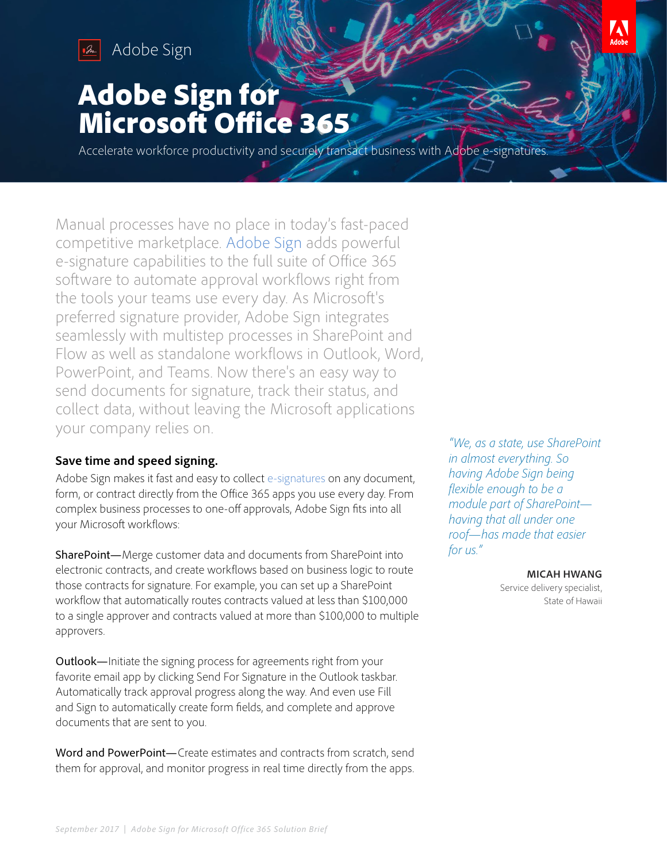

Adobe Sign

# Adobe Sign for Microsoft Office 365

Accelerate workforce productivity and securely transact business with Adobe e-signatures.

Manual processes have no place in today's fast-paced competitive marketplace. [Adobe Sign](https://acrobat.adobe.com/us/en/sign.html) adds powerful e-signature capabilities to the full suite of Office 365 software to automate approval workflows right from the tools your teams use every day. As Microsoft's preferred signature provider, Adobe Sign integrates seamlessly with multistep processes in SharePoint and Flow as well as standalone workflows in Outlook, Word, PowerPoint, and Teams. Now there's an easy way to send documents for signature, track their status, and collect data, without leaving the Microsoft applications your company relies on.

### **Save time and speed signing.**

Adobe Sign makes it fast and easy to collect [e-signatures](https://acrobat.adobe.com/us/en/sign/capabilities/electronic-signatures.html) on any document, form, or contract directly from the Office 365 apps you use every day. From complex business processes to one-off approvals, Adobe Sign fits into all your Microsoft workflows:

SharePoint—Merge customer data and documents from SharePoint into electronic contracts, and create workflows based on business logic to route those contracts for signature. For example, you can set up a SharePoint workflow that automatically routes contracts valued at less than \$100,000 to a single approver and contracts valued at more than \$100,000 to multiple approvers.

Outlook—Initiate the signing process for agreements right from your favorite email app by clicking Send For Signature in the Outlook taskbar. Automatically track approval progress along the way. And even use Fill and Sign to automatically create form fields, and complete and approve documents that are sent to you.

Word and PowerPoint-Create estimates and contracts from scratch, send them for approval, and monitor progress in real time directly from the apps.

*"We, as a state, use SharePoint in almost everything. So having Adobe Sign being flexible enough to be a module part of SharePoint having that all under one roof—has made that easier for us."*

### **MICAH HWANG**

A

Service delivery specialist, State of Hawaii